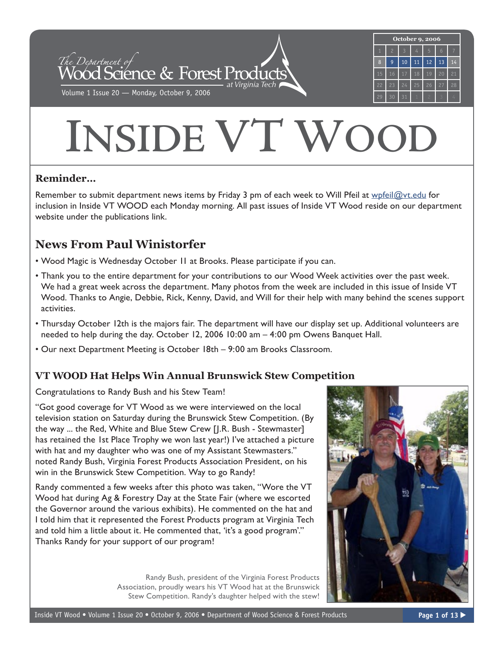

# **INSIDE VT WOOD**

## **Reminder…**

Remember to submit department news items by Friday 3 pm of each week to Will Pfeil at [wpfeil@vt.edu](mailto:wpfeil@vt.edu) for inclusion in Inside VT WOOD each Monday morning. All past issues of Inside VT Wood reside on our department website under the publications link.

# **News From Paul Winistorfer**

- Wood Magic is Wednesday October 11 at Brooks. Please participate if you can.
- Thank you to the entire department for your contributions to our Wood Week activities over the past week. We had a great week across the department. Many photos from the week are included in this issue of Inside VT Wood. Thanks to Angie, Debbie, Rick, Kenny, David, and Will for their help with many behind the scenes support activities.
- Thursday October 12th is the majors fair. The department will have our display set up. Additional volunteers are needed to help during the day. October 12, 2006 10:00 am – 4:00 pm Owens Banquet Hall.
- Our next Department Meeting is October 18th 9:00 am Brooks Classroom.

## **VT WOOD Hat Helps Win Annual Brunswick Stew Competition**

Congratulations to Randy Bush and his Stew Team!

"Got good coverage for VT Wood as we were interviewed on the local television station on Saturday during the Brunswick Stew Competition. (By the way ... the Red, White and Blue Stew Crew [J.R. Bush - Stewmaster] has retained the 1st Place Trophy we won last year!) I've attached a picture with hat and my daughter who was one of my Assistant Stewmasters." noted Randy Bush, Virginia Forest Products Association President, on his win in the Brunswick Stew Competition. Way to go Randy!

Randy commented a few weeks after this photo was taken, "Wore the VT Wood hat during Ag & Forestry Day at the State Fair (where we escorted the Governor around the various exhibits). He commented on the hat and I told him that it represented the Forest Products program at Virginia Tech and told him a little about it. He commented that, 'it's a good program'." Thanks Randy for your support of our program!

> Randy Bush, president of the Virginia Forest Products Association, proudly wears his VT Wood hat at the Brunswick Stew Competition. Randy's daughter helped with the stew!

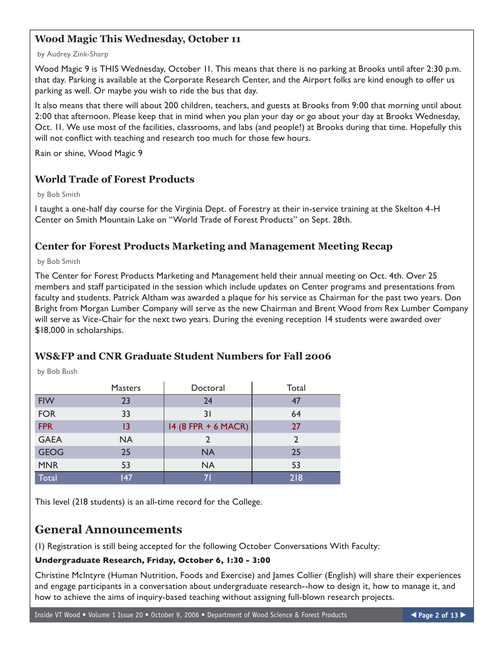## **Wood Magic This Wednesday, October 11**

#### by Audrey Zink-Sharp

Wood Magic 9 is THIS Wednesday, October 11. This means that there is no parking at Brooks until after 2:30 p.m. that day. Parking is available at the Corporate Research Center, and the Airport folks are kind enough to offer us parking as well. Or maybe you wish to ride the bus that day.

It also means that there will about 200 children, teachers, and guests at Brooks from 9:00 that morning until about 2:00 that afternoon. Please keep that in mind when you plan your day or go about your day at Brooks Wednesday, Oct. 11. We use most of the facilities, classrooms, and labs (and people!) at Brooks during that time. Hopefully this will not conflict with teaching and research too much for those few hours.

Rain or shine, Wood Magic 9

## **World Trade of Forest Products**

by Bob Smith

I taught a one-half day course for the Virginia Dept. of Forestry at their in-service training at the Skelton 4-H Center on Smith Mountain Lake on "World Trade of Forest Products" on Sept. 28th.

## **Center for Forest Products Marketing and Management Meeting Recap**

by Bob Smith

The Center for Forest Products Marketing and Management held their annual meeting on Oct. 4th. Over 25 members and staff participated in the session which include updates on Center programs and presentations from faculty and students. Patrick Altham was awarded a plaque for his service as Chairman for the past two years. Don Bright from Morgan Lumber Company will serve as the new Chairman and Brent Wood from Rex Lumber Company will serve as Vice-Chair for the next two years. During the evening reception 14 students were awarded over \$18,000 in scholarships.

## **WS&FP and CNR Graduate Student Numbers for Fall 2006**

by Bob Bush

|             | <b>Masters</b> | Doctoral            | Total         |
|-------------|----------------|---------------------|---------------|
| <b>FIW</b>  | 23             | 24                  | 47            |
| <b>FOR</b>  | 33             | 31                  | 64            |
| <b>FPR</b>  | 13             | 14 (8 FPR + 6 MACR) | 27            |
| <b>GAEA</b> | <b>NA</b>      |                     | $\mathcal{P}$ |
| <b>GEOG</b> | 25             | <b>NA</b>           | 25            |
| <b>MNR</b>  | 53             | <b>NA</b>           | 53            |
| Total       | 147            | 71                  | 218           |

This level (218 students) is an all-time record for the College.

## **General Announcements**

(1) Registration is still being accepted for the following October Conversations With Faculty:

#### **Undergraduate Research, Friday, October 6, 1:30 - 3:00**

Christine McIntyre (Human Nutrition, Foods and Exercise) and James Collier (English) will share their experiences and engage participants in a conversation about undergraduate research--how to design it, how to manage it, and how to achieve the aims of inquiry-based teaching without assigning full-blown research projects.

Inside VT Wood • Volume 1 Issue 20 • October 9, 2006 • Department of Wood Science & Forest Products **Page 2 of 13 ▶**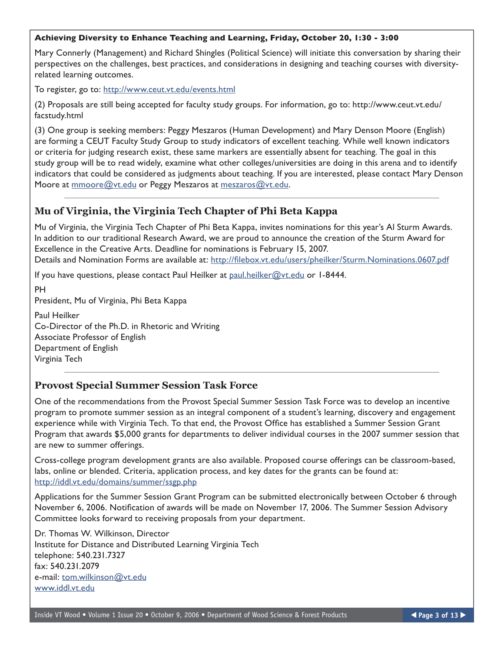#### **Achieving Diversity to Enhance Teaching and Learning, Friday, October 20, 1:30 - 3:00**

Mary Connerly (Management) and Richard Shingles (Political Science) will initiate this conversation by sharing their perspectives on the challenges, best practices, and considerations in designing and teaching courses with diversityrelated learning outcomes.

To register, go to: <http://www.ceut.vt.edu/events.html>

(2) Proposals are still being accepted for faculty study groups. For information, go to: http://www.ceut.vt.edu/ facstudy.html

(3) One group is seeking members: Peggy Meszaros (Human Development) and Mary Denson Moore (English) are forming a CEUT Faculty Study Group to study indicators of excellent teaching. While well known indicators or criteria for judging research exist, these same markers are essentially absent for teaching. The goal in this study group will be to read widely, examine what other colleges/universities are doing in this arena and to identify indicators that could be considered as judgments about teaching. If you are interested, please contact Mary Denson Moore at [mmoore@vt.edu](mailto:mmoore@vt.edu) or Peggy Meszaros at [meszaros@vt.edu.](mailto:meszaros@vt.edu)

#### **Mu of Virginia, the Virginia Tech Chapter of Phi Beta Kappa**

Mu of Virginia, the Virginia Tech Chapter of Phi Beta Kappa, invites nominations for this year's Al Sturm Awards. In addition to our traditional Research Award, we are proud to announce the creation of the Sturm Award for Excellence in the Creative Arts. Deadline for nominations is February 15, 2007. Details and Nomination Forms are available at:<http://filebox.vt.edu/users/pheilker/Sturm.Nominations.0607.pdf>

If you have questions, please contact Paul Heilker at [paul.heilker@vt.edu](mailto:paul.heilker@vt.edu) or 1-8444.

PH President, Mu of Virginia, Phi Beta Kappa Paul Heilker Co-Director of the Ph.D. in Rhetoric and Writing Associate Professor of English Department of English Virginia Tech

#### **Provost Special Summer Session Task Force**

One of the recommendations from the Provost Special Summer Session Task Force was to develop an incentive program to promote summer session as an integral component of a student's learning, discovery and engagement experience while with Virginia Tech. To that end, the Provost Office has established a Summer Session Grant Program that awards \$5,000 grants for departments to deliver individual courses in the 2007 summer session that are new to summer offerings.

Cross-college program development grants are also available. Proposed course offerings can be classroom-based, labs, online or blended. Criteria, application process, and key dates for the grants can be found at: <http://iddl.vt.edu/domains/summer/ssgp.php>

Applications for the Summer Session Grant Program can be submitted electronically between October 6 through November 6, 2006. Notification of awards will be made on November 17, 2006. The Summer Session Advisory Committee looks forward to receiving proposals from your department.

Dr. Thomas W. Wilkinson, Director Institute for Distance and Distributed Learning Virginia Tech telephone: 540.231.7327 fax: 540.231.2079 e-mail: [tom.wilkinson@vt.edu](mailto:tom.wilkinson@vt.edu) [www.iddl.vt.edu](http://www.iddl.vt.edu)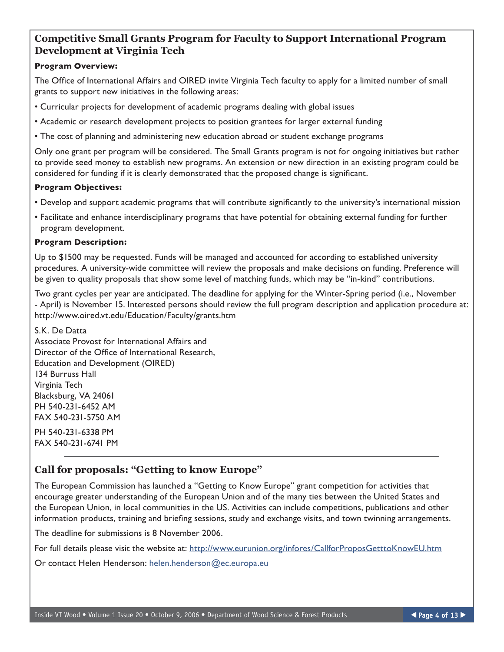## **Competitive Small Grants Program for Faculty to Support International Program Development at Virginia Tech**

#### **Program Overview:**

The Office of International Affairs and OIRED invite Virginia Tech faculty to apply for a limited number of small grants to support new initiatives in the following areas:

• Curricular projects for development of academic programs dealing with global issues

• Academic or research development projects to position grantees for larger external funding

• The cost of planning and administering new education abroad or student exchange programs

Only one grant per program will be considered. The Small Grants program is not for ongoing initiatives but rather to provide seed money to establish new programs. An extension or new direction in an existing program could be considered for funding if it is clearly demonstrated that the proposed change is significant.

#### **Program Objectives:**

- Develop and support academic programs that will contribute significantly to the university's international mission
- Facilitate and enhance interdisciplinary programs that have potential for obtaining external funding for further program development.

#### **Program Description:**

Up to \$1500 may be requested. Funds will be managed and accounted for according to established university procedures. A university-wide committee will review the proposals and make decisions on funding. Preference will be given to quality proposals that show some level of matching funds, which may be "in-kind" contributions.

Two grant cycles per year are anticipated. The deadline for applying for the Winter-Spring period (i.e., November - April) is November 15. Interested persons should review the full program description and application procedure at: http://www.oired.vt.edu/Education/Faculty/grants.htm

S.K. De Datta Associate Provost for International Affairs and Director of the Office of International Research, Education and Development (OIRED) 134 Burruss Hall Virginia Tech Blacksburg, VA 24061 PH 540-231-6452 AM FAX 540-231-5750 AM

PH 540-231-6338 PM FAX 540-231-6741 PM

## **Call for proposals: "Getting to know Europe"**

The European Commission has launched a "Getting to Know Europe" grant competition for activities that encourage greater understanding of the European Union and of the many ties between the United States and the European Union, in local communities in the US. Activities can include competitions, publications and other information products, training and briefing sessions, study and exchange visits, and town twinning arrangements.

The deadline for submissions is 8 November 2006.

For full details please visit the website at:<http://www.eurunion.org/infores/CallforProposGetttoKnowEU.htm>

Or contact Helen Henderson: [helen.henderson@ec.europa.eu](mailto:helen.henderson@ec.europa.eu)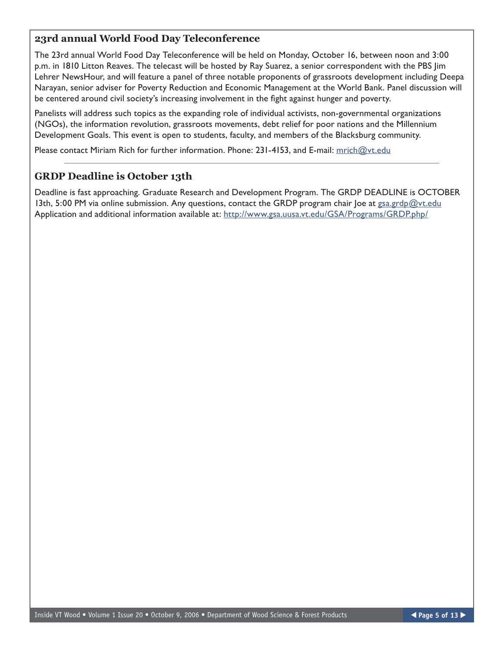## **23rd annual World Food Day Teleconference**

The 23rd annual World Food Day Teleconference will be held on Monday, October 16, between noon and 3:00 p.m. in 1810 Litton Reaves. The telecast will be hosted by Ray Suarez, a senior correspondent with the PBS Jim Lehrer NewsHour, and will feature a panel of three notable proponents of grassroots development including Deepa Narayan, senior adviser for Poverty Reduction and Economic Management at the World Bank. Panel discussion will be centered around civil society's increasing involvement in the fight against hunger and poverty.

Panelists will address such topics as the expanding role of individual activists, non-governmental organizations (NGOs), the information revolution, grassroots movements, debt relief for poor nations and the Millennium Development Goals. This event is open to students, faculty, and members of the Blacksburg community.

Please contact Miriam Rich for further information. Phone: 231-4153, and E-mail: [mrich@vt.edu](mailto:mrich@vt.edu)

## **GRDP Deadline is October 13th**

Deadline is fast approaching. Graduate Research and Development Program. The GRDP DEADLINE is OCTOBER 13th, 5:00 PM via online submission. Any questions, contact the GRDP program chair Joe at [gsa.grdp@vt.edu](mailto:gsa.grdp@vt.edu) Application and additional information available at: <http://www.gsa.uusa.vt.edu/GSA/Programs/GRDP.php/>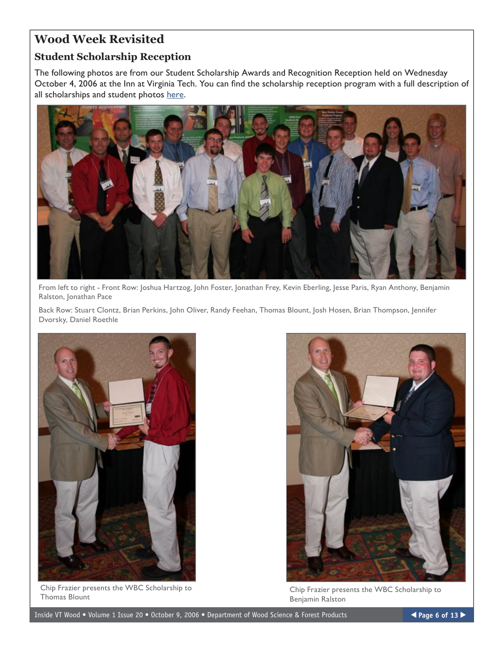# **Wood Week Revisited**

## **Student Scholarship Reception**

The following photos are from our Student Scholarship Awards and Recognition Reception held on Wednesday October 4, 2006 at the Inn at Virginia Tech. You can find the scholarship reception program with a full description of all scholarships and student photos [here](http://www.woodscience.vt.edu/students/scholarships/pdf/2006scholar.pdf).



From left to right - Front Row: Joshua Hartzog, John Foster, Jonathan Frey, Kevin Eberling, Jesse Paris, Ryan Anthony, Benjamin Ralston, Jonathan Pace

Back Row: Stuart Clontz, Brian Perkins, John Oliver, Randy Feehan, Thomas Blount, Josh Hosen, Brian Thompson, Jennifer Dvorsky, Daniel Roethle



Chip Frazier presents the WBC Scholarship to Thomas Blount



Chip Frazier presents the WBC Scholarship to Benjamin Ralston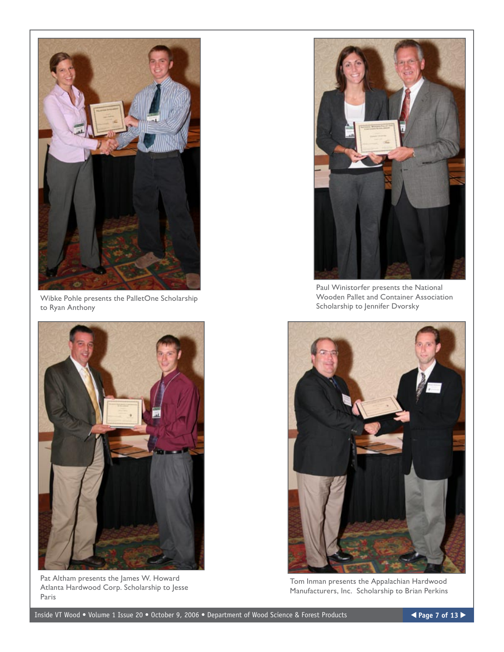

Wibke Pohle presents the PalletOne Scholarship to Ryan Anthony



Pat Altham presents the James W. Howard Atlanta Hardwood Corp. Scholarship to Jesse Paris



Paul Winistorfer presents the National Wooden Pallet and Container Association Scholarship to Jennifer Dvorsky



Tom Inman presents the Appalachian Hardwood Manufacturers, Inc. Scholarship to Brian Perkins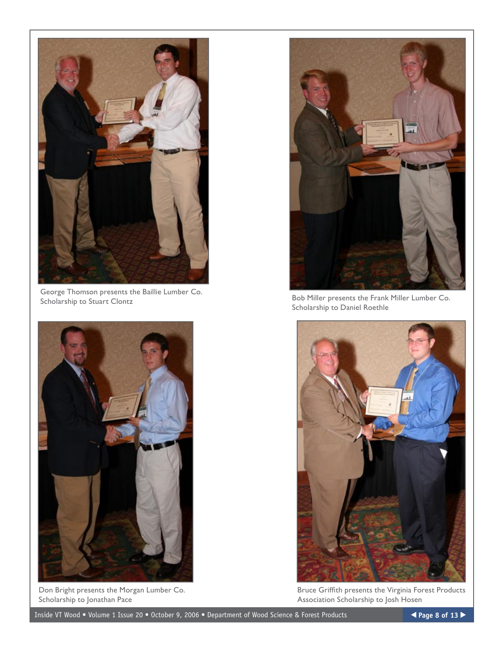

George Thomson presents the Baillie Lumber Co.<br>Scholarship to Stuart Clontz



Don Bright presents the Morgan Lumber Co. Scholarship to Jonathan Pace



Bob Miller presents the Frank Miller Lumber Co. Scholarship to Daniel Roethle



Bruce Griffith presents the Virginia Forest Products Association Scholarship to Josh Hosen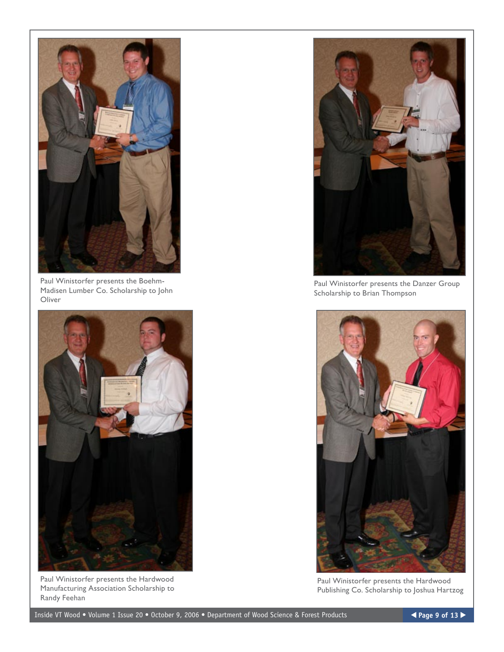

Paul Winistorfer presents the Boehm-Madisen Lumber Co. Scholarship to John Oliver



Paul Winistorfer presents the Hardwood Manufacturing Association Scholarship to Randy Feehan



Paul Winistorfer presents the Danzer Group Scholarship to Brian Thompson



Paul Winistorfer presents the Hardwood Publishing Co. Scholarship to Joshua Hartzog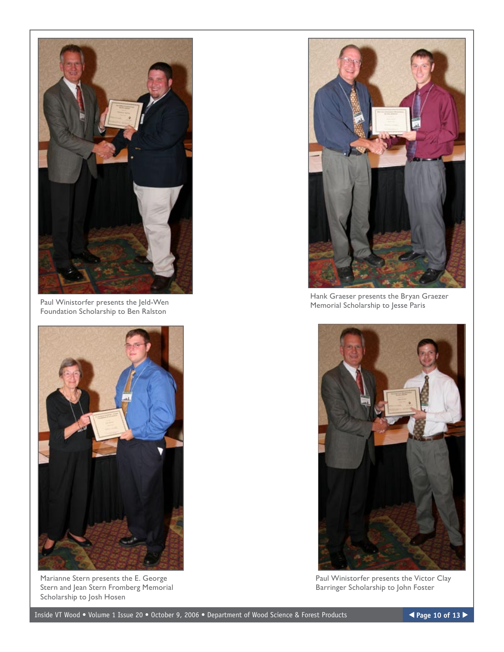

Paul Winistorfer presents the Jeld-Wen Foundation Scholarship to Ben Ralston



Marianne Stern presents the E. George Stern and Jean Stern Fromberg Memorial Scholarship to Josh Hosen



Hank Graeser presents the Bryan Graezer Memorial Scholarship to Jesse Paris



Paul Winistorfer presents the Victor Clay Barringer Scholarship to John Foster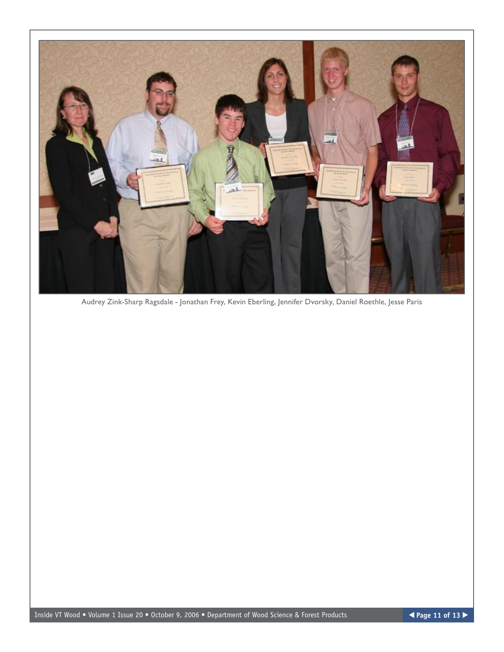

Audrey Zink-Sharp Ragsdale - Jonathan Frey, Kevin Eberling, Jennifer Dvorsky, Daniel Roethle, Jesse Paris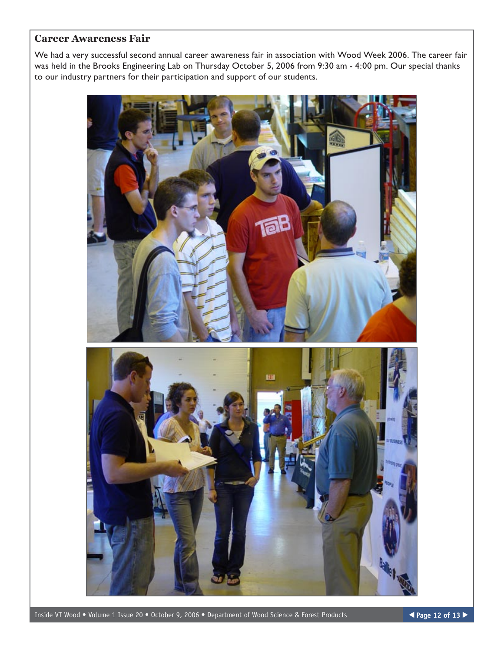## **Career Awareness Fair**

We had a very successful second annual career awareness fair in association with Wood Week 2006. The career fair was held in the Brooks Engineering Lab on Thursday October 5, 2006 from 9:30 am - 4:00 pm. Our special thanks to our industry partners for their participation and support of our students.